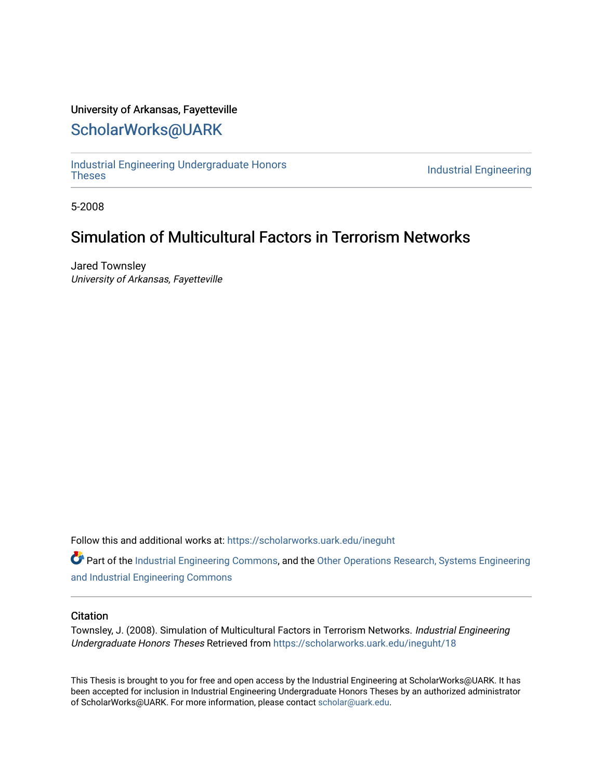### University of Arkansas, Fayetteville

### [ScholarWorks@UARK](https://scholarworks.uark.edu/)

[Industrial Engineering Undergraduate Honors](https://scholarworks.uark.edu/ineguht)

**Industrial Engineering** 

5-2008

### Simulation of Multicultural Factors in Terrorism Networks

Jared Townsley University of Arkansas, Fayetteville

Follow this and additional works at: [https://scholarworks.uark.edu/ineguht](https://scholarworks.uark.edu/ineguht?utm_source=scholarworks.uark.edu%2Fineguht%2F18&utm_medium=PDF&utm_campaign=PDFCoverPages)

Part of the [Industrial Engineering Commons](http://network.bepress.com/hgg/discipline/307?utm_source=scholarworks.uark.edu%2Fineguht%2F18&utm_medium=PDF&utm_campaign=PDFCoverPages), and the [Other Operations Research, Systems Engineering](http://network.bepress.com/hgg/discipline/310?utm_source=scholarworks.uark.edu%2Fineguht%2F18&utm_medium=PDF&utm_campaign=PDFCoverPages)  [and Industrial Engineering Commons](http://network.bepress.com/hgg/discipline/310?utm_source=scholarworks.uark.edu%2Fineguht%2F18&utm_medium=PDF&utm_campaign=PDFCoverPages) 

#### **Citation**

Townsley, J. (2008). Simulation of Multicultural Factors in Terrorism Networks. Industrial Engineering Undergraduate Honors Theses Retrieved from [https://scholarworks.uark.edu/ineguht/18](https://scholarworks.uark.edu/ineguht/18?utm_source=scholarworks.uark.edu%2Fineguht%2F18&utm_medium=PDF&utm_campaign=PDFCoverPages) 

This Thesis is brought to you for free and open access by the Industrial Engineering at ScholarWorks@UARK. It has been accepted for inclusion in Industrial Engineering Undergraduate Honors Theses by an authorized administrator of ScholarWorks@UARK. For more information, please contact [scholar@uark.edu.](mailto:scholar@uark.edu)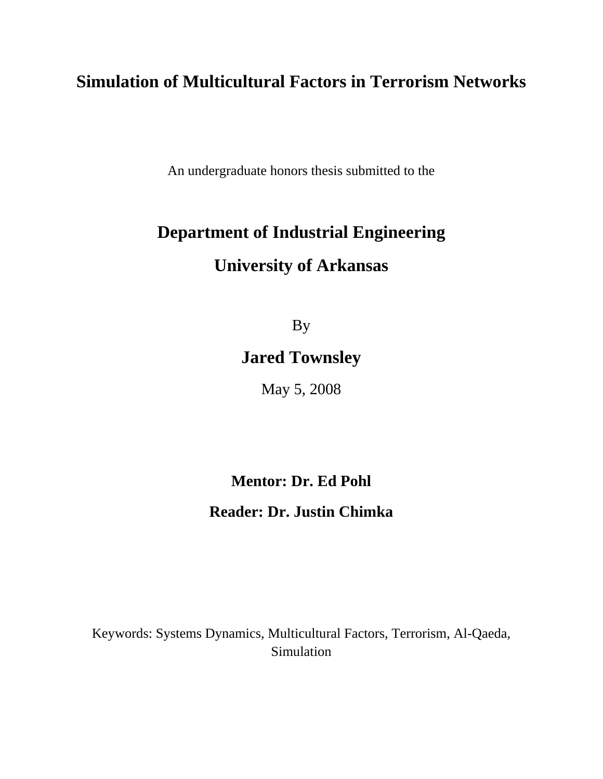# **Simulation of Multicultural Factors in Terrorism Networks**

An undergraduate honors thesis submitted to the

# **Department of Industrial Engineering**

# **University of Arkansas**

By

# **Jared Townsley**

May 5, 2008

## **Mentor: Dr. Ed Pohl**

## **Reader: Dr. Justin Chimka**

Keywords: Systems Dynamics, Multicultural Factors, Terrorism, Al-Qaeda, Simulation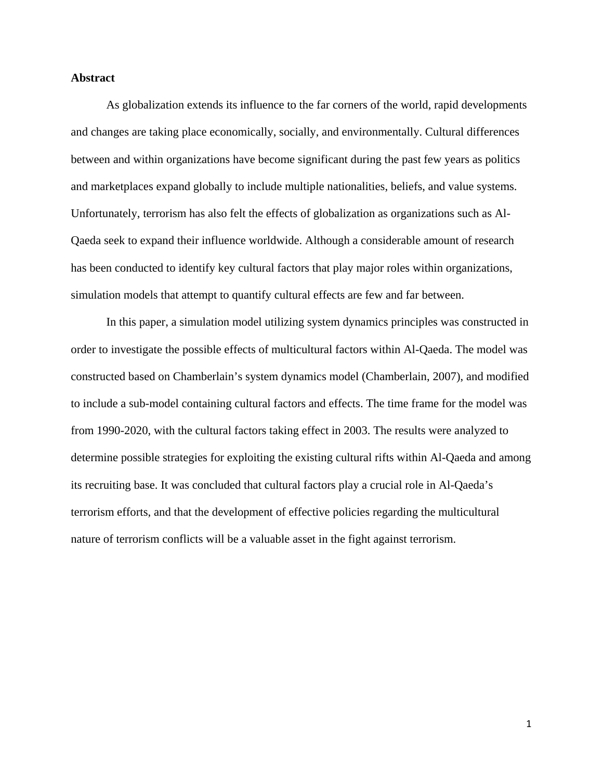#### **Abstract**

As globalization extends its influence to the far corners of the world, rapid developments and changes are taking place economically, socially, and environmentally. Cultural differences between and within organizations have become significant during the past few years as politics and marketplaces expand globally to include multiple nationalities, beliefs, and value systems. Unfortunately, terrorism has also felt the effects of globalization as organizations such as Al-Qaeda seek to expand their influence worldwide. Although a considerable amount of research has been conducted to identify key cultural factors that play major roles within organizations, simulation models that attempt to quantify cultural effects are few and far between.

In this paper, a simulation model utilizing system dynamics principles was constructed in order to investigate the possible effects of multicultural factors within Al-Qaeda. The model was constructed based on Chamberlain's system dynamics model (Chamberlain, 2007), and modified to include a sub-model containing cultural factors and effects. The time frame for the model was from 1990-2020, with the cultural factors taking effect in 2003. The results were analyzed to determine possible strategies for exploiting the existing cultural rifts within Al-Qaeda and among its recruiting base. It was concluded that cultural factors play a crucial role in Al-Qaeda's terrorism efforts, and that the development of effective policies regarding the multicultural nature of terrorism conflicts will be a valuable asset in the fight against terrorism.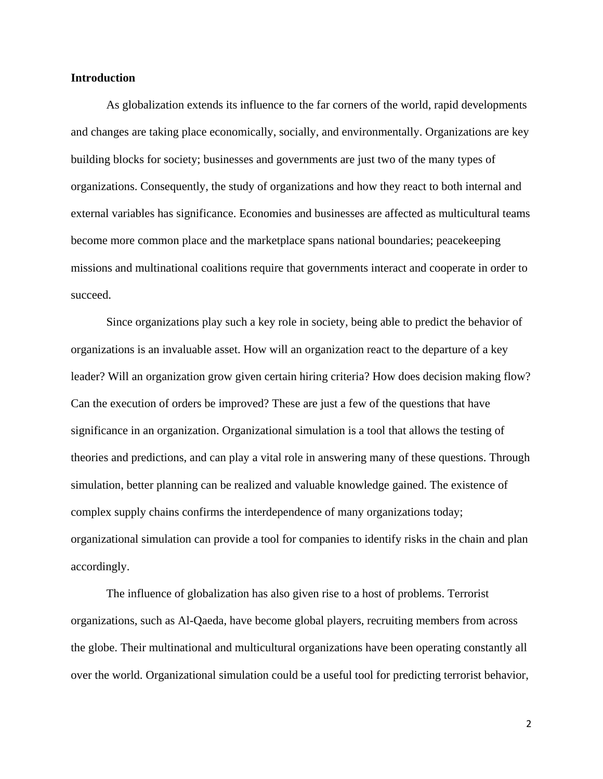#### **Introduction**

As globalization extends its influence to the far corners of the world, rapid developments and changes are taking place economically, socially, and environmentally. Organizations are key building blocks for society; businesses and governments are just two of the many types of organizations. Consequently, the study of organizations and how they react to both internal and external variables has significance. Economies and businesses are affected as multicultural teams become more common place and the marketplace spans national boundaries; peacekeeping missions and multinational coalitions require that governments interact and cooperate in order to succeed.

Since organizations play such a key role in society, being able to predict the behavior of organizations is an invaluable asset. How will an organization react to the departure of a key leader? Will an organization grow given certain hiring criteria? How does decision making flow? Can the execution of orders be improved? These are just a few of the questions that have significance in an organization. Organizational simulation is a tool that allows the testing of theories and predictions, and can play a vital role in answering many of these questions. Through simulation, better planning can be realized and valuable knowledge gained. The existence of complex supply chains confirms the interdependence of many organizations today; organizational simulation can provide a tool for companies to identify risks in the chain and plan accordingly.

The influence of globalization has also given rise to a host of problems. Terrorist organizations, such as Al-Qaeda, have become global players, recruiting members from across the globe. Their multinational and multicultural organizations have been operating constantly all over the world. Organizational simulation could be a useful tool for predicting terrorist behavior,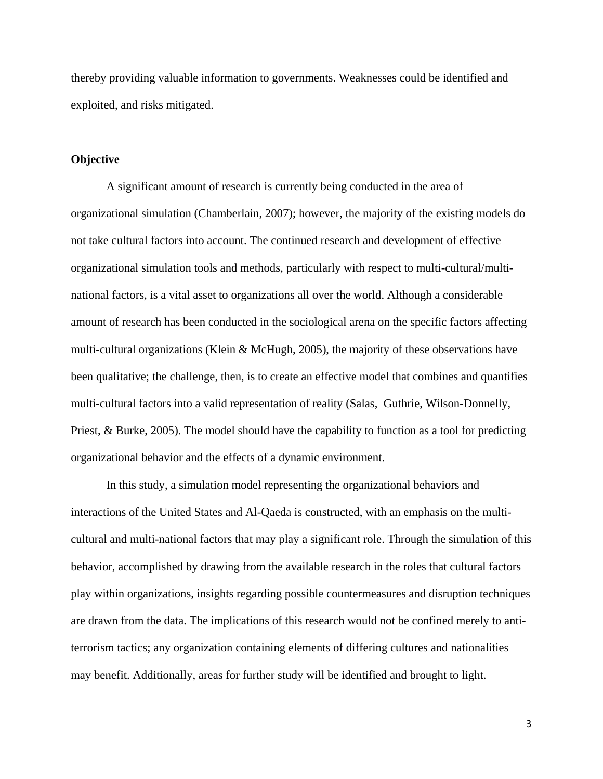thereby providing valuable information to governments. Weaknesses could be identified and exploited, and risks mitigated.

#### **Objective**

A significant amount of research is currently being conducted in the area of organizational simulation (Chamberlain, 2007); however, the majority of the existing models do not take cultural factors into account. The continued research and development of effective organizational simulation tools and methods, particularly with respect to multi-cultural/multinational factors, is a vital asset to organizations all over the world. Although a considerable amount of research has been conducted in the sociological arena on the specific factors affecting multi-cultural organizations (Klein & McHugh, 2005), the majority of these observations have been qualitative; the challenge, then, is to create an effective model that combines and quantifies multi-cultural factors into a valid representation of reality (Salas, Guthrie, Wilson-Donnelly, Priest, & Burke, 2005). The model should have the capability to function as a tool for predicting organizational behavior and the effects of a dynamic environment.

In this study, a simulation model representing the organizational behaviors and interactions of the United States and Al-Qaeda is constructed, with an emphasis on the multicultural and multi-national factors that may play a significant role. Through the simulation of this behavior, accomplished by drawing from the available research in the roles that cultural factors play within organizations, insights regarding possible countermeasures and disruption techniques are drawn from the data. The implications of this research would not be confined merely to antiterrorism tactics; any organization containing elements of differing cultures and nationalities may benefit. Additionally, areas for further study will be identified and brought to light.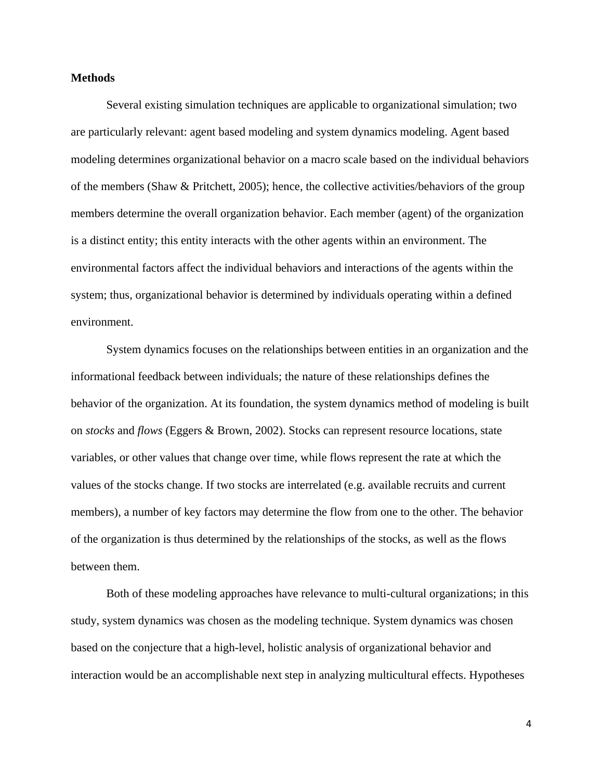#### **Methods**

Several existing simulation techniques are applicable to organizational simulation; two are particularly relevant: agent based modeling and system dynamics modeling. Agent based modeling determines organizational behavior on a macro scale based on the individual behaviors of the members (Shaw & Pritchett, 2005); hence, the collective activities/behaviors of the group members determine the overall organization behavior. Each member (agent) of the organization is a distinct entity; this entity interacts with the other agents within an environment. The environmental factors affect the individual behaviors and interactions of the agents within the system; thus, organizational behavior is determined by individuals operating within a defined environment.

System dynamics focuses on the relationships between entities in an organization and the informational feedback between individuals; the nature of these relationships defines the behavior of the organization. At its foundation, the system dynamics method of modeling is built on *stocks* and *flows* (Eggers & Brown, 2002). Stocks can represent resource locations, state variables, or other values that change over time, while flows represent the rate at which the values of the stocks change. If two stocks are interrelated (e.g. available recruits and current members), a number of key factors may determine the flow from one to the other. The behavior of the organization is thus determined by the relationships of the stocks, as well as the flows between them.

Both of these modeling approaches have relevance to multi-cultural organizations; in this study, system dynamics was chosen as the modeling technique. System dynamics was chosen based on the conjecture that a high-level, holistic analysis of organizational behavior and interaction would be an accomplishable next step in analyzing multicultural effects. Hypotheses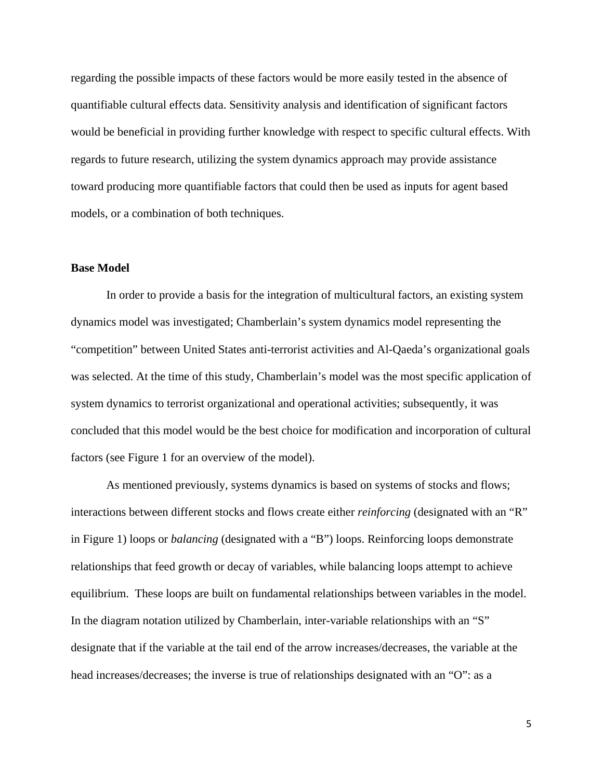regarding the possible impacts of these factors would be more easily tested in the absence of quantifiable cultural effects data. Sensitivity analysis and identification of significant factors would be beneficial in providing further knowledge with respect to specific cultural effects. With regards to future research, utilizing the system dynamics approach may provide assistance toward producing more quantifiable factors that could then be used as inputs for agent based models, or a combination of both techniques.

#### **Base Model**

In order to provide a basis for the integration of multicultural factors, an existing system dynamics model was investigated; Chamberlain's system dynamics model representing the "competition" between United States anti-terrorist activities and Al-Qaeda's organizational goals was selected. At the time of this study, Chamberlain's model was the most specific application of system dynamics to terrorist organizational and operational activities; subsequently, it was concluded that this model would be the best choice for modification and incorporation of cultural factors (see Figure 1 for an overview of the model).

As mentioned previously, systems dynamics is based on systems of stocks and flows; interactions between different stocks and flows create either *reinforcing* (designated with an "R" in Figure 1) loops or *balancing* (designated with a "B") loops. Reinforcing loops demonstrate relationships that feed growth or decay of variables, while balancing loops attempt to achieve equilibrium. These loops are built on fundamental relationships between variables in the model. In the diagram notation utilized by Chamberlain, inter-variable relationships with an "S" designate that if the variable at the tail end of the arrow increases/decreases, the variable at the head increases/decreases; the inverse is true of relationships designated with an "O": as a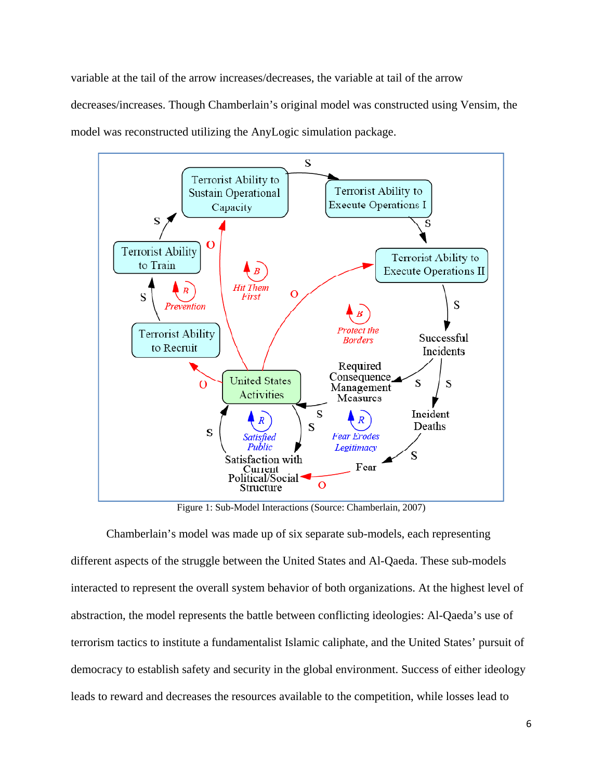variable at the tail of the arrow increases/decreases, the variable at tail of the arrow decreases/increases. Though Chamberlain's original model was constructed using Vensim, the model was reconstructed utilizing the AnyLogic simulation package.



Figure 1: Sub-Model Interactions (Source: Chamberlain, 2007)

Chamberlain's model was made up of six separate sub-models, each representing different aspects of the struggle between the United States and Al-Qaeda. These sub-models interacted to represent the overall system behavior of both organizations. At the highest level of abstraction, the model represents the battle between conflicting ideologies: Al-Qaeda's use of terrorism tactics to institute a fundamentalist Islamic caliphate, and the United States' pursuit of democracy to establish safety and security in the global environment. Success of either ideology leads to reward and decreases the resources available to the competition, while losses lead to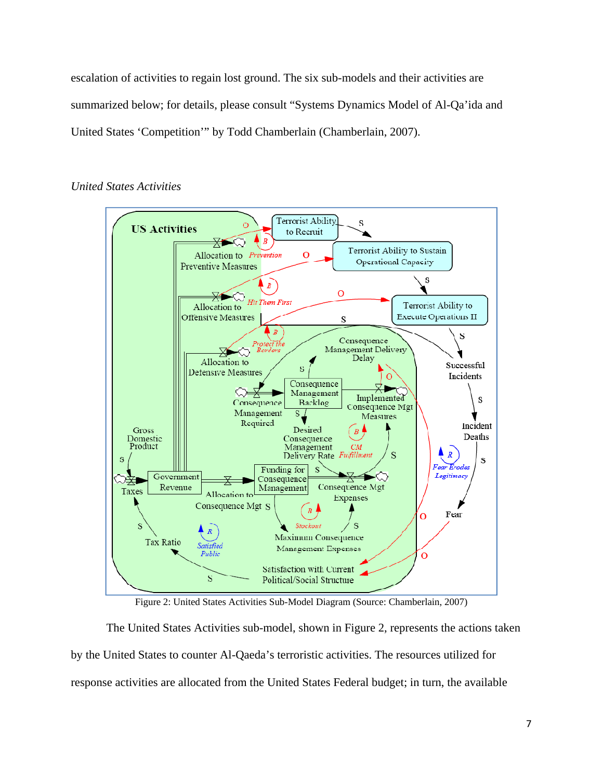escalation of activities to regain lost ground. The six sub-models and their activities are summarized below; for details, please consult "Systems Dynamics Model of Al-Qa'ida and United States 'Competition'" by Todd Chamberlain (Chamberlain, 2007).



#### *United States Activities*

Figure 2: United States Activities Sub-Model Diagram (Source: Chamberlain, 2007)

The United States Activities sub-model, shown in Figure 2, represents the actions taken by the United States to counter Al-Qaeda's terroristic activities. The resources utilized for response activities are allocated from the United States Federal budget; in turn, the available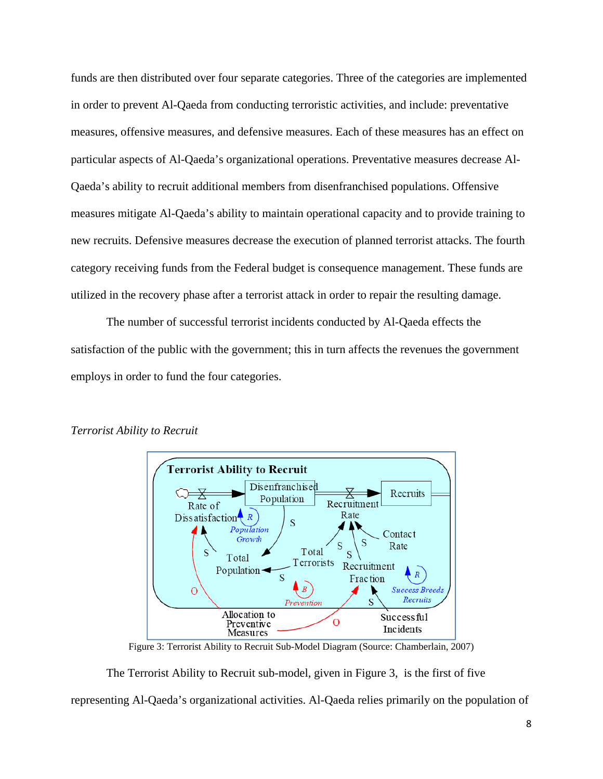funds are then distributed over four separate categories. Three of the categories are implemented in order to prevent Al-Qaeda from conducting terroristic activities, and include: preventative measures, offensive measures, and defensive measures. Each of these measures has an effect on particular aspects of Al-Qaeda's organizational operations. Preventative measures decrease Al-Qaeda's ability to recruit additional members from disenfranchised populations. Offensive measures mitigate Al-Qaeda's ability to maintain operational capacity and to provide training to new recruits. Defensive measures decrease the execution of planned terrorist attacks. The fourth category receiving funds from the Federal budget is consequence management. These funds are utilized in the recovery phase after a terrorist attack in order to repair the resulting damage.

 The number of successful terrorist incidents conducted by Al-Qaeda effects the satisfaction of the public with the government; this in turn affects the revenues the government employs in order to fund the four categories.



#### *Terrorist Ability to Recruit*

Figure 3: Terrorist Ability to Recruit Sub-Model Diagram (Source: Chamberlain, 2007)

 The Terrorist Ability to Recruit sub-model, given in Figure 3, is the first of five representing Al-Qaeda's organizational activities. Al-Qaeda relies primarily on the population of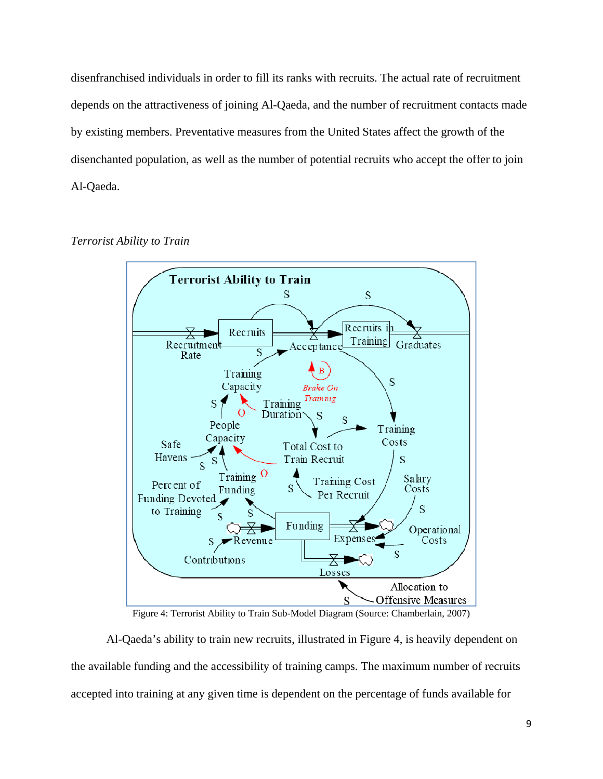disenfranchised individuals in order to fill its ranks with recruits. The actual rate of recruitment depends on the attractiveness of joining Al-Qaeda, and the number of recruitment contacts made by existing members. Preventative measures from the United States affect the growth of the disenchanted population, as well as the number of potential recruits who accept the offer to join Al-Qaeda.





Figure 4: Terrorist Ability to Train Sub-Model Diagram (Source: Chamberlain, 2007)

 Al-Qaeda's ability to train new recruits, illustrated in Figure 4, is heavily dependent on the available funding and the accessibility of training camps. The maximum number of recruits accepted into training at any given time is dependent on the percentage of funds available for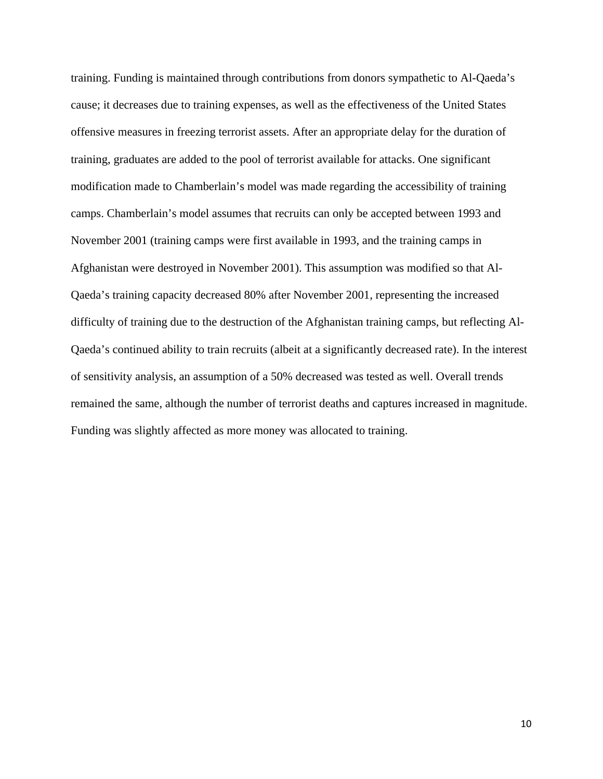training. Funding is maintained through contributions from donors sympathetic to Al-Qaeda's cause; it decreases due to training expenses, as well as the effectiveness of the United States offensive measures in freezing terrorist assets. After an appropriate delay for the duration of training, graduates are added to the pool of terrorist available for attacks. One significant modification made to Chamberlain's model was made regarding the accessibility of training camps. Chamberlain's model assumes that recruits can only be accepted between 1993 and November 2001 (training camps were first available in 1993, and the training camps in Afghanistan were destroyed in November 2001). This assumption was modified so that Al-Qaeda's training capacity decreased 80% after November 2001, representing the increased difficulty of training due to the destruction of the Afghanistan training camps, but reflecting Al-Qaeda's continued ability to train recruits (albeit at a significantly decreased rate). In the interest of sensitivity analysis, an assumption of a 50% decreased was tested as well. Overall trends remained the same, although the number of terrorist deaths and captures increased in magnitude. Funding was slightly affected as more money was allocated to training.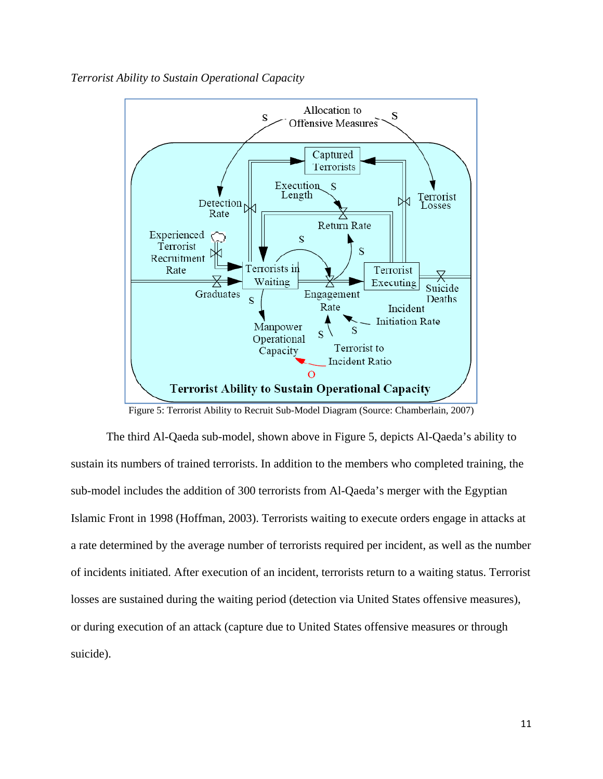*Terrorist Ability to Sustain Operational Capacity* 



Figure 5: Terrorist Ability to Recruit Sub-Model Diagram (Source: Chamberlain, 2007)

 The third Al-Qaeda sub-model, shown above in Figure 5, depicts Al-Qaeda's ability to sustain its numbers of trained terrorists. In addition to the members who completed training, the sub-model includes the addition of 300 terrorists from Al-Qaeda's merger with the Egyptian Islamic Front in 1998 (Hoffman, 2003). Terrorists waiting to execute orders engage in attacks at a rate determined by the average number of terrorists required per incident, as well as the number of incidents initiated. After execution of an incident, terrorists return to a waiting status. Terrorist losses are sustained during the waiting period (detection via United States offensive measures), or during execution of an attack (capture due to United States offensive measures or through suicide).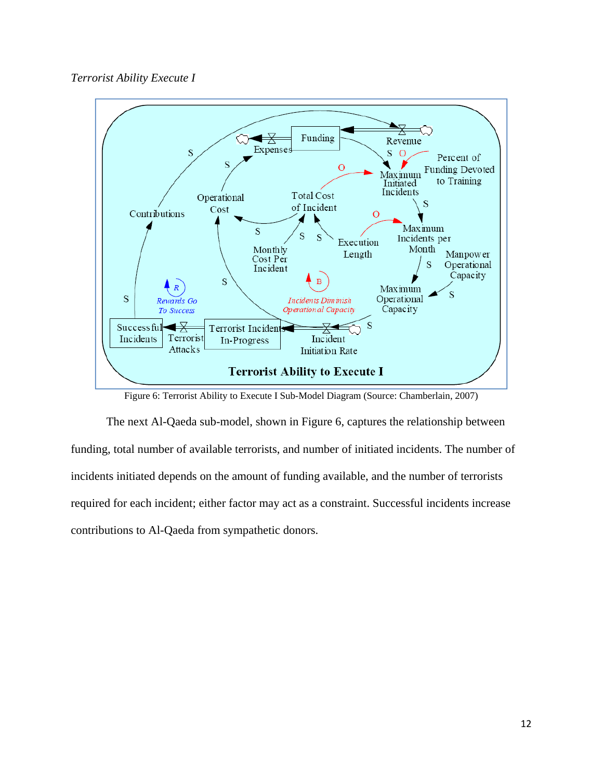### *Terrorist Ability Execute I*



Figure 6: Terrorist Ability to Execute I Sub-Model Diagram (Source: Chamberlain, 2007)

 The next Al-Qaeda sub-model, shown in Figure 6, captures the relationship between funding, total number of available terrorists, and number of initiated incidents. The number of incidents initiated depends on the amount of funding available, and the number of terrorists required for each incident; either factor may act as a constraint. Successful incidents increase contributions to Al-Qaeda from sympathetic donors.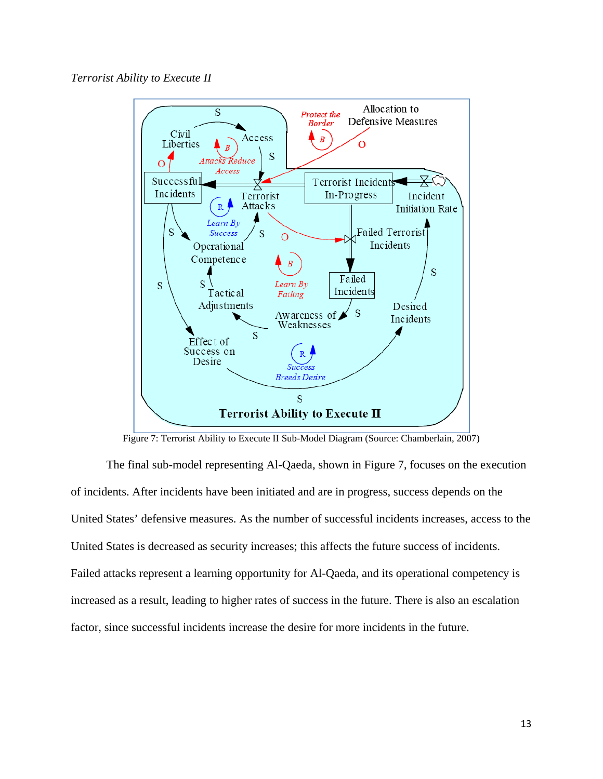

Figure 7: Terrorist Ability to Execute II Sub-Model Diagram (Source: Chamberlain, 2007)

 The final sub-model representing Al-Qaeda, shown in Figure 7, focuses on the execution of incidents. After incidents have been initiated and are in progress, success depends on the United States' defensive measures. As the number of successful incidents increases, access to the United States is decreased as security increases; this affects the future success of incidents. Failed attacks represent a learning opportunity for Al-Qaeda, and its operational competency is increased as a result, leading to higher rates of success in the future. There is also an escalation factor, since successful incidents increase the desire for more incidents in the future.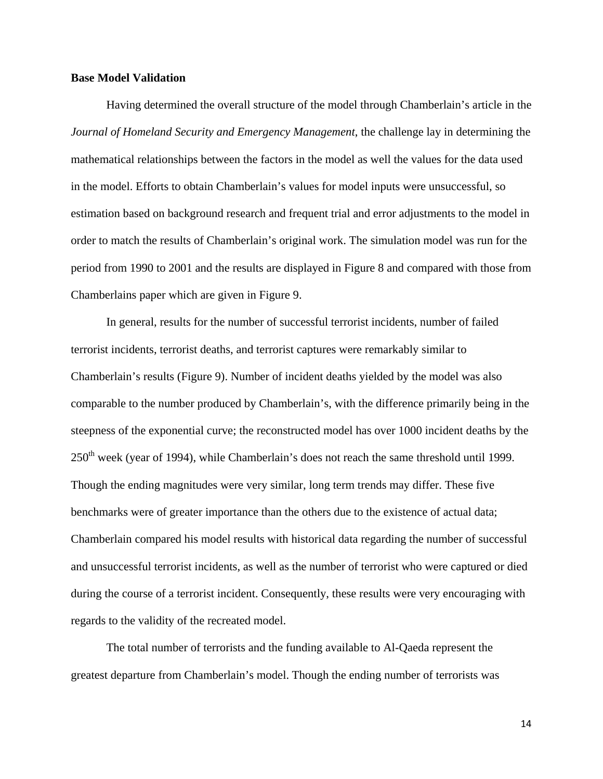#### **Base Model Validation**

 Having determined the overall structure of the model through Chamberlain's article in the *Journal of Homeland Security and Emergency Management*, the challenge lay in determining the mathematical relationships between the factors in the model as well the values for the data used in the model. Efforts to obtain Chamberlain's values for model inputs were unsuccessful, so estimation based on background research and frequent trial and error adjustments to the model in order to match the results of Chamberlain's original work. The simulation model was run for the period from 1990 to 2001 and the results are displayed in Figure 8 and compared with those from Chamberlains paper which are given in Figure 9.

 In general, results for the number of successful terrorist incidents, number of failed terrorist incidents, terrorist deaths, and terrorist captures were remarkably similar to Chamberlain's results (Figure 9). Number of incident deaths yielded by the model was also comparable to the number produced by Chamberlain's, with the difference primarily being in the steepness of the exponential curve; the reconstructed model has over 1000 incident deaths by the 250<sup>th</sup> week (year of 1994), while Chamberlain's does not reach the same threshold until 1999. Though the ending magnitudes were very similar, long term trends may differ. These five benchmarks were of greater importance than the others due to the existence of actual data; Chamberlain compared his model results with historical data regarding the number of successful and unsuccessful terrorist incidents, as well as the number of terrorist who were captured or died during the course of a terrorist incident. Consequently, these results were very encouraging with regards to the validity of the recreated model.

 The total number of terrorists and the funding available to Al-Qaeda represent the greatest departure from Chamberlain's model. Though the ending number of terrorists was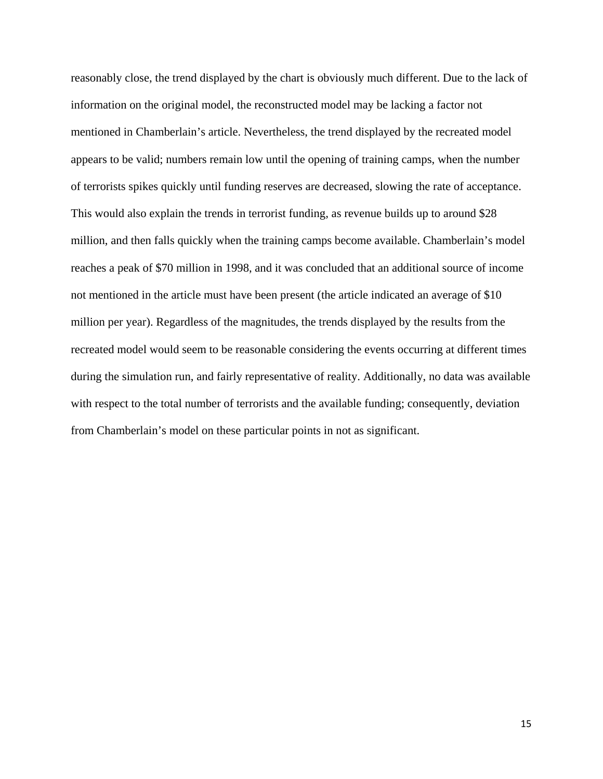reasonably close, the trend displayed by the chart is obviously much different. Due to the lack of information on the original model, the reconstructed model may be lacking a factor not mentioned in Chamberlain's article. Nevertheless, the trend displayed by the recreated model appears to be valid; numbers remain low until the opening of training camps, when the number of terrorists spikes quickly until funding reserves are decreased, slowing the rate of acceptance. This would also explain the trends in terrorist funding, as revenue builds up to around \$28 million, and then falls quickly when the training camps become available. Chamberlain's model reaches a peak of \$70 million in 1998, and it was concluded that an additional source of income not mentioned in the article must have been present (the article indicated an average of \$10 million per year). Regardless of the magnitudes, the trends displayed by the results from the recreated model would seem to be reasonable considering the events occurring at different times during the simulation run, and fairly representative of reality. Additionally, no data was available with respect to the total number of terrorists and the available funding; consequently, deviation from Chamberlain's model on these particular points in not as significant.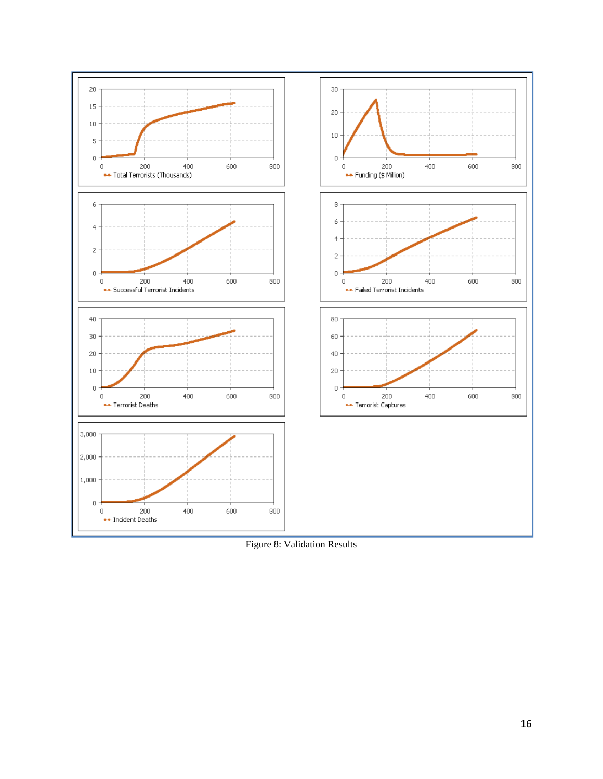

Figure 8: Validation Results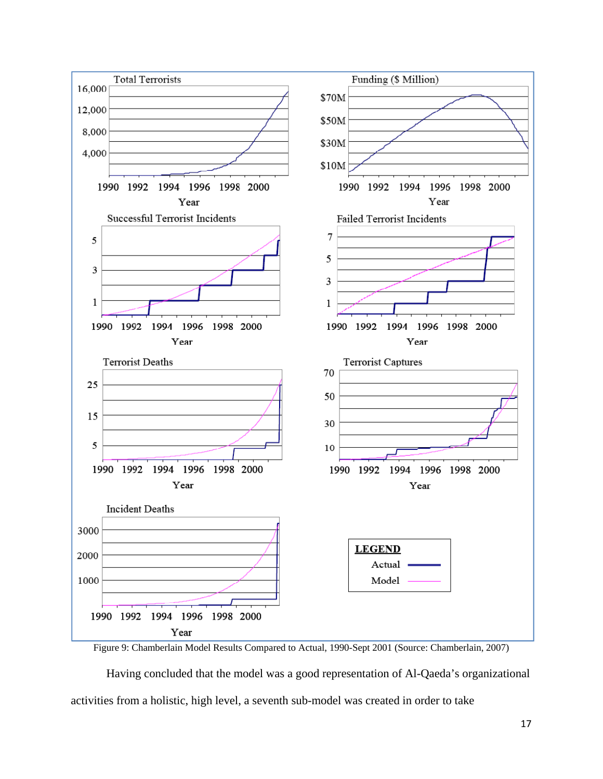

Figure 9: Chamberlain Model Results Compared to Actual, 1990-Sept 2001 (Source: Chamberlain, 2007)

 Having concluded that the model was a good representation of Al-Qaeda's organizational activities from a holistic, high level, a seventh sub-model was created in order to take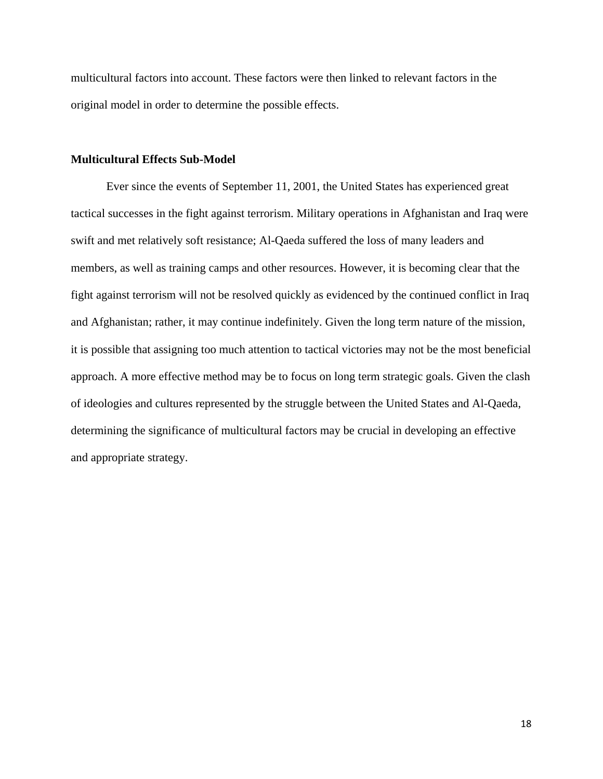multicultural factors into account. These factors were then linked to relevant factors in the original model in order to determine the possible effects.

#### **Multicultural Effects Sub-Model**

 Ever since the events of September 11, 2001, the United States has experienced great tactical successes in the fight against terrorism. Military operations in Afghanistan and Iraq were swift and met relatively soft resistance; Al-Qaeda suffered the loss of many leaders and members, as well as training camps and other resources. However, it is becoming clear that the fight against terrorism will not be resolved quickly as evidenced by the continued conflict in Iraq and Afghanistan; rather, it may continue indefinitely. Given the long term nature of the mission, it is possible that assigning too much attention to tactical victories may not be the most beneficial approach. A more effective method may be to focus on long term strategic goals. Given the clash of ideologies and cultures represented by the struggle between the United States and Al-Qaeda, determining the significance of multicultural factors may be crucial in developing an effective and appropriate strategy.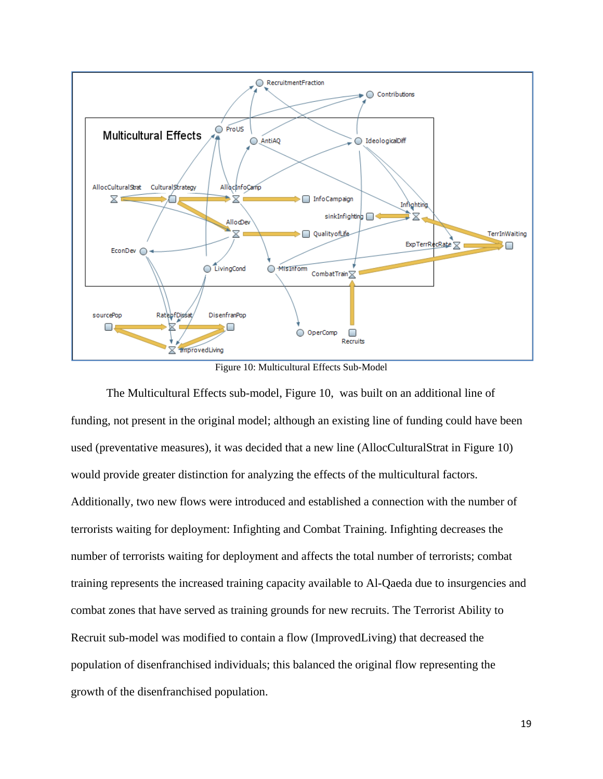

Figure 10: Multicultural Effects Sub-Model

 The Multicultural Effects sub-model, Figure 10, was built on an additional line of funding, not present in the original model; although an existing line of funding could have been used (preventative measures), it was decided that a new line (AllocCulturalStrat in Figure 10) would provide greater distinction for analyzing the effects of the multicultural factors. Additionally, two new flows were introduced and established a connection with the number of terrorists waiting for deployment: Infighting and Combat Training. Infighting decreases the number of terrorists waiting for deployment and affects the total number of terrorists; combat training represents the increased training capacity available to Al-Qaeda due to insurgencies and combat zones that have served as training grounds for new recruits. The Terrorist Ability to Recruit sub-model was modified to contain a flow (ImprovedLiving) that decreased the population of disenfranchised individuals; this balanced the original flow representing the growth of the disenfranchised population.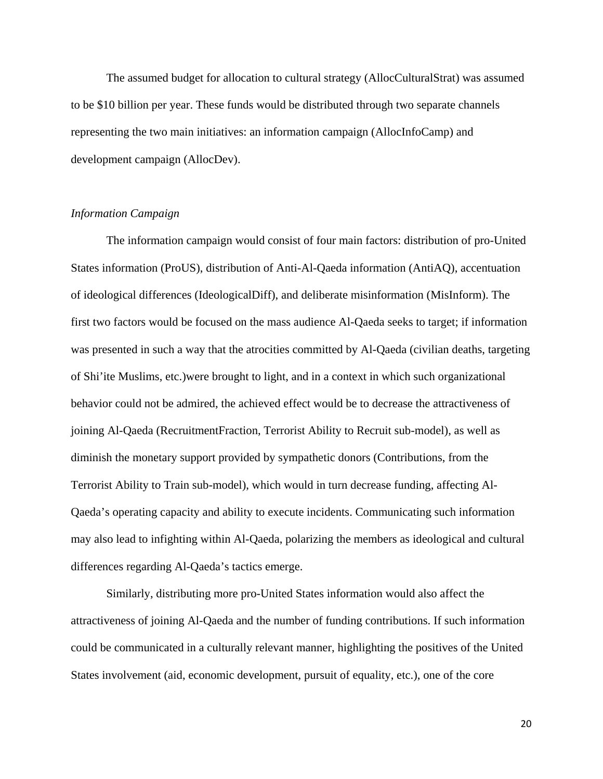The assumed budget for allocation to cultural strategy (AllocCulturalStrat) was assumed to be \$10 billion per year. These funds would be distributed through two separate channels representing the two main initiatives: an information campaign (AllocInfoCamp) and development campaign (AllocDev).

#### *Information Campaign*

 The information campaign would consist of four main factors: distribution of pro-United States information (ProUS), distribution of Anti-Al-Qaeda information (AntiAQ), accentuation of ideological differences (IdeologicalDiff), and deliberate misinformation (MisInform). The first two factors would be focused on the mass audience Al-Qaeda seeks to target; if information was presented in such a way that the atrocities committed by Al-Qaeda (civilian deaths, targeting of Shi'ite Muslims, etc.)were brought to light, and in a context in which such organizational behavior could not be admired, the achieved effect would be to decrease the attractiveness of joining Al-Qaeda (RecruitmentFraction, Terrorist Ability to Recruit sub-model), as well as diminish the monetary support provided by sympathetic donors (Contributions, from the Terrorist Ability to Train sub-model), which would in turn decrease funding, affecting Al-Qaeda's operating capacity and ability to execute incidents. Communicating such information may also lead to infighting within Al-Qaeda, polarizing the members as ideological and cultural differences regarding Al-Qaeda's tactics emerge.

Similarly, distributing more pro-United States information would also affect the attractiveness of joining Al-Qaeda and the number of funding contributions. If such information could be communicated in a culturally relevant manner, highlighting the positives of the United States involvement (aid, economic development, pursuit of equality, etc.), one of the core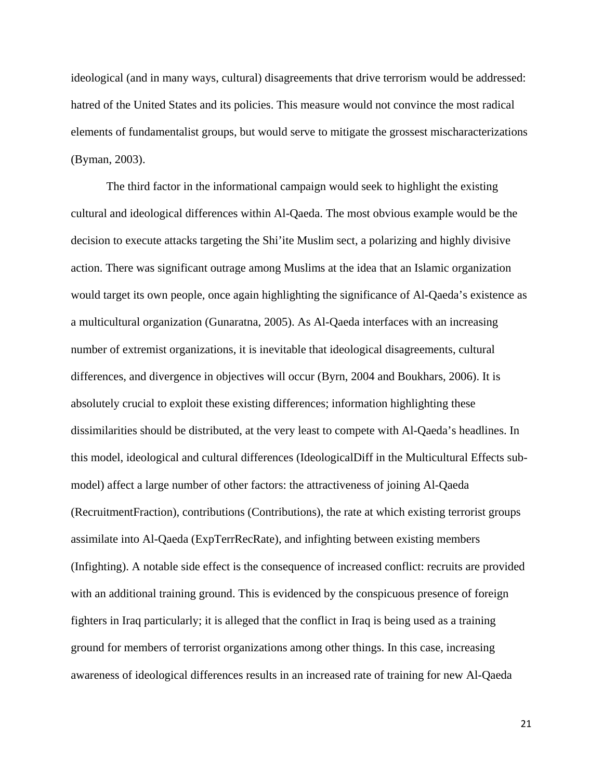ideological (and in many ways, cultural) disagreements that drive terrorism would be addressed: hatred of the United States and its policies. This measure would not convince the most radical elements of fundamentalist groups, but would serve to mitigate the grossest mischaracterizations (Byman, 2003).

The third factor in the informational campaign would seek to highlight the existing cultural and ideological differences within Al-Qaeda. The most obvious example would be the decision to execute attacks targeting the Shi'ite Muslim sect, a polarizing and highly divisive action. There was significant outrage among Muslims at the idea that an Islamic organization would target its own people, once again highlighting the significance of Al-Qaeda's existence as a multicultural organization (Gunaratna, 2005). As Al-Qaeda interfaces with an increasing number of extremist organizations, it is inevitable that ideological disagreements, cultural differences, and divergence in objectives will occur (Byrn, 2004 and Boukhars, 2006). It is absolutely crucial to exploit these existing differences; information highlighting these dissimilarities should be distributed, at the very least to compete with Al-Qaeda's headlines. In this model, ideological and cultural differences (IdeologicalDiff in the Multicultural Effects submodel) affect a large number of other factors: the attractiveness of joining Al-Qaeda (RecruitmentFraction), contributions (Contributions), the rate at which existing terrorist groups assimilate into Al-Qaeda (ExpTerrRecRate), and infighting between existing members (Infighting). A notable side effect is the consequence of increased conflict: recruits are provided with an additional training ground. This is evidenced by the conspicuous presence of foreign fighters in Iraq particularly; it is alleged that the conflict in Iraq is being used as a training ground for members of terrorist organizations among other things. In this case, increasing awareness of ideological differences results in an increased rate of training for new Al-Qaeda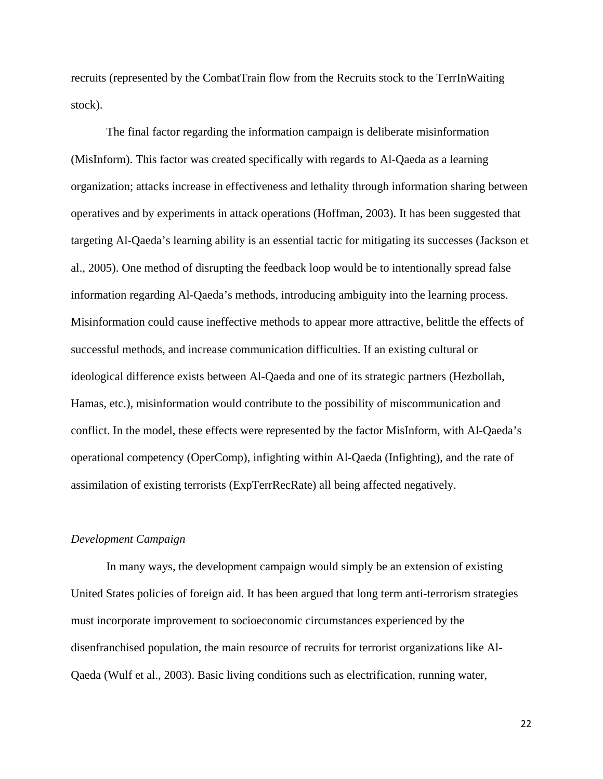recruits (represented by the CombatTrain flow from the Recruits stock to the TerrInWaiting stock).

The final factor regarding the information campaign is deliberate misinformation (MisInform). This factor was created specifically with regards to Al-Qaeda as a learning organization; attacks increase in effectiveness and lethality through information sharing between operatives and by experiments in attack operations (Hoffman, 2003). It has been suggested that targeting Al-Qaeda's learning ability is an essential tactic for mitigating its successes (Jackson et al., 2005). One method of disrupting the feedback loop would be to intentionally spread false information regarding Al-Qaeda's methods, introducing ambiguity into the learning process. Misinformation could cause ineffective methods to appear more attractive, belittle the effects of successful methods, and increase communication difficulties. If an existing cultural or ideological difference exists between Al-Qaeda and one of its strategic partners (Hezbollah, Hamas, etc.), misinformation would contribute to the possibility of miscommunication and conflict. In the model, these effects were represented by the factor MisInform, with Al-Qaeda's operational competency (OperComp), infighting within Al-Qaeda (Infighting), and the rate of assimilation of existing terrorists (ExpTerrRecRate) all being affected negatively.

#### *Development Campaign*

 In many ways, the development campaign would simply be an extension of existing United States policies of foreign aid. It has been argued that long term anti-terrorism strategies must incorporate improvement to socioeconomic circumstances experienced by the disenfranchised population, the main resource of recruits for terrorist organizations like Al-Qaeda (Wulf et al., 2003). Basic living conditions such as electrification, running water,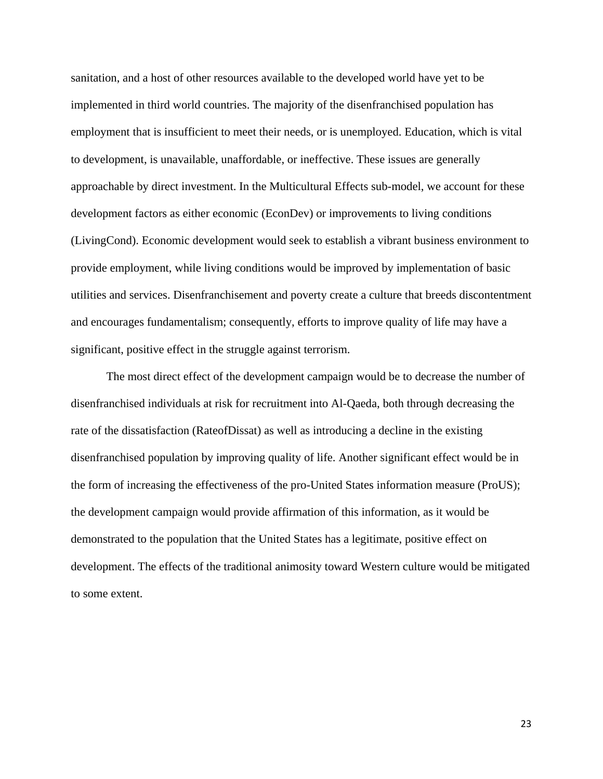sanitation, and a host of other resources available to the developed world have yet to be implemented in third world countries. The majority of the disenfranchised population has employment that is insufficient to meet their needs, or is unemployed. Education, which is vital to development, is unavailable, unaffordable, or ineffective. These issues are generally approachable by direct investment. In the Multicultural Effects sub-model, we account for these development factors as either economic (EconDev) or improvements to living conditions (LivingCond). Economic development would seek to establish a vibrant business environment to provide employment, while living conditions would be improved by implementation of basic utilities and services. Disenfranchisement and poverty create a culture that breeds discontentment and encourages fundamentalism; consequently, efforts to improve quality of life may have a significant, positive effect in the struggle against terrorism.

 The most direct effect of the development campaign would be to decrease the number of disenfranchised individuals at risk for recruitment into Al-Qaeda, both through decreasing the rate of the dissatisfaction (RateofDissat) as well as introducing a decline in the existing disenfranchised population by improving quality of life. Another significant effect would be in the form of increasing the effectiveness of the pro-United States information measure (ProUS); the development campaign would provide affirmation of this information, as it would be demonstrated to the population that the United States has a legitimate, positive effect on development. The effects of the traditional animosity toward Western culture would be mitigated to some extent.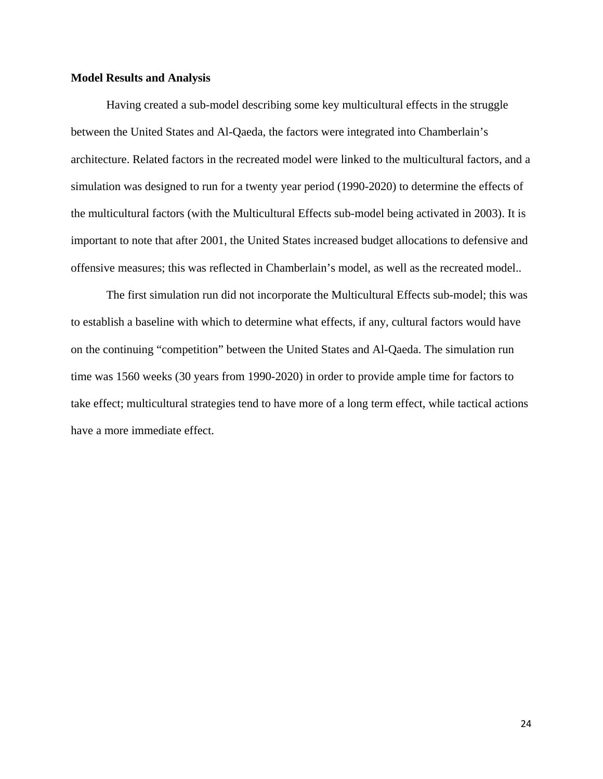#### **Model Results and Analysis**

Having created a sub-model describing some key multicultural effects in the struggle between the United States and Al-Qaeda, the factors were integrated into Chamberlain's architecture. Related factors in the recreated model were linked to the multicultural factors, and a simulation was designed to run for a twenty year period (1990-2020) to determine the effects of the multicultural factors (with the Multicultural Effects sub-model being activated in 2003). It is important to note that after 2001, the United States increased budget allocations to defensive and offensive measures; this was reflected in Chamberlain's model, as well as the recreated model..

The first simulation run did not incorporate the Multicultural Effects sub-model; this was to establish a baseline with which to determine what effects, if any, cultural factors would have on the continuing "competition" between the United States and Al-Qaeda. The simulation run time was 1560 weeks (30 years from 1990-2020) in order to provide ample time for factors to take effect; multicultural strategies tend to have more of a long term effect, while tactical actions have a more immediate effect.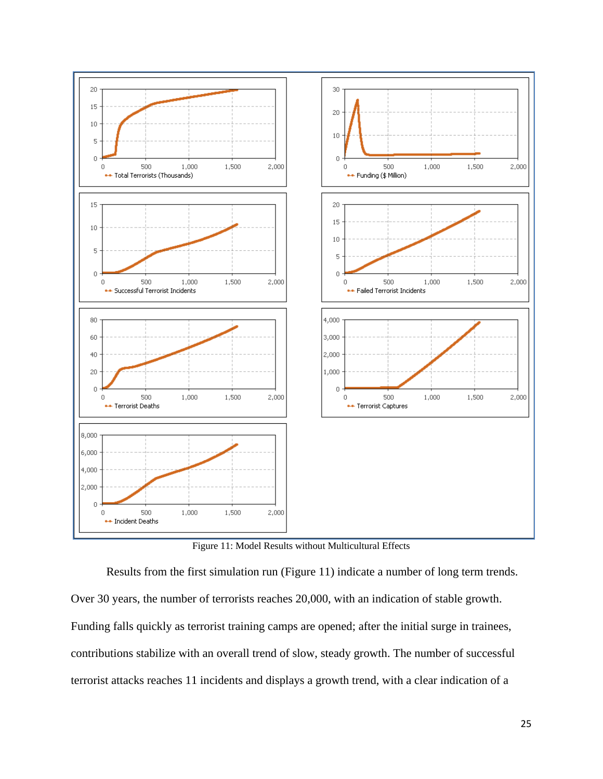

Figure 11: Model Results without Multicultural Effects

 Results from the first simulation run (Figure 11) indicate a number of long term trends. Over 30 years, the number of terrorists reaches 20,000, with an indication of stable growth. Funding falls quickly as terrorist training camps are opened; after the initial surge in trainees, contributions stabilize with an overall trend of slow, steady growth. The number of successful terrorist attacks reaches 11 incidents and displays a growth trend, with a clear indication of a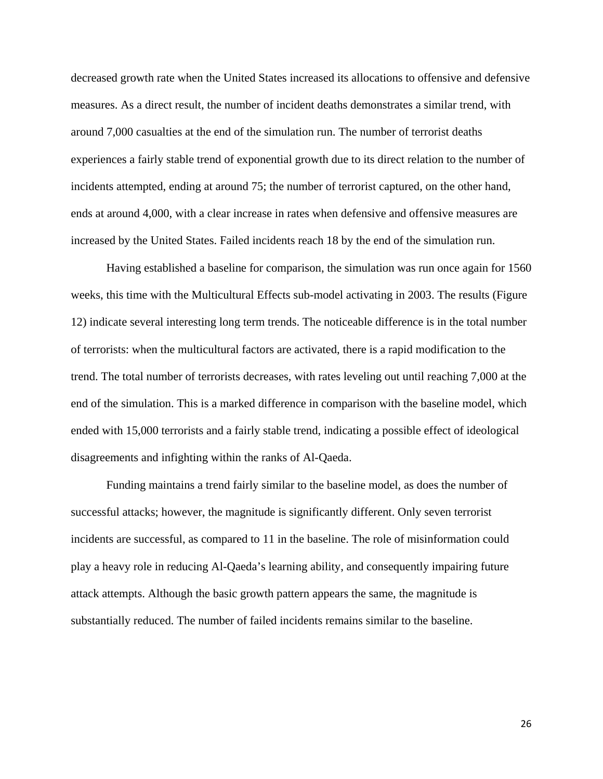decreased growth rate when the United States increased its allocations to offensive and defensive measures. As a direct result, the number of incident deaths demonstrates a similar trend, with around 7,000 casualties at the end of the simulation run. The number of terrorist deaths experiences a fairly stable trend of exponential growth due to its direct relation to the number of incidents attempted, ending at around 75; the number of terrorist captured, on the other hand, ends at around 4,000, with a clear increase in rates when defensive and offensive measures are increased by the United States. Failed incidents reach 18 by the end of the simulation run.

 Having established a baseline for comparison, the simulation was run once again for 1560 weeks, this time with the Multicultural Effects sub-model activating in 2003. The results (Figure 12) indicate several interesting long term trends. The noticeable difference is in the total number of terrorists: when the multicultural factors are activated, there is a rapid modification to the trend. The total number of terrorists decreases, with rates leveling out until reaching 7,000 at the end of the simulation. This is a marked difference in comparison with the baseline model, which ended with 15,000 terrorists and a fairly stable trend, indicating a possible effect of ideological disagreements and infighting within the ranks of Al-Qaeda.

Funding maintains a trend fairly similar to the baseline model, as does the number of successful attacks; however, the magnitude is significantly different. Only seven terrorist incidents are successful, as compared to 11 in the baseline. The role of misinformation could play a heavy role in reducing Al-Qaeda's learning ability, and consequently impairing future attack attempts. Although the basic growth pattern appears the same, the magnitude is substantially reduced. The number of failed incidents remains similar to the baseline.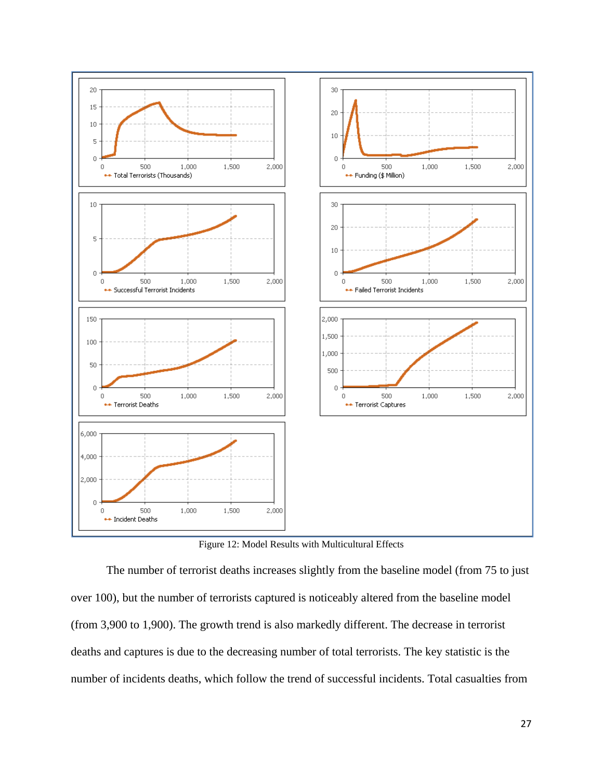

Figure 12: Model Results with Multicultural Effects

 The number of terrorist deaths increases slightly from the baseline model (from 75 to just over 100), but the number of terrorists captured is noticeably altered from the baseline model (from 3,900 to 1,900). The growth trend is also markedly different. The decrease in terrorist deaths and captures is due to the decreasing number of total terrorists. The key statistic is the number of incidents deaths, which follow the trend of successful incidents. Total casualties from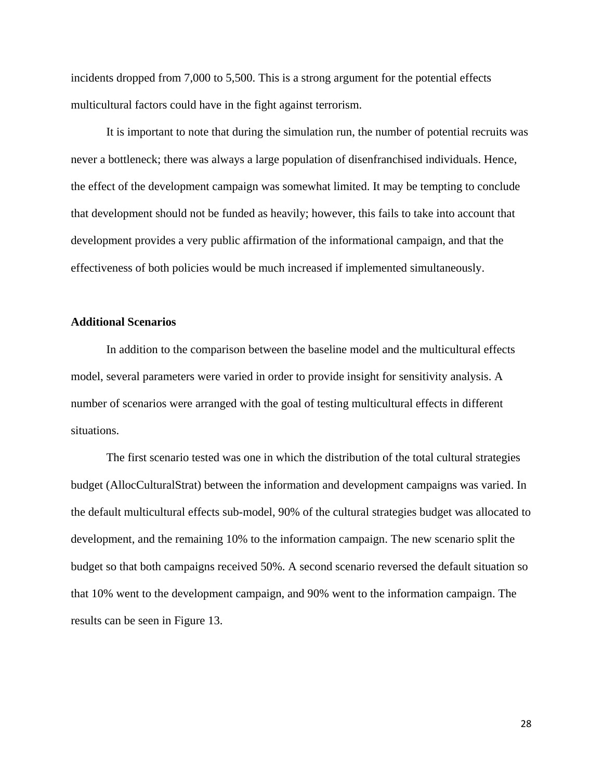incidents dropped from 7,000 to 5,500. This is a strong argument for the potential effects multicultural factors could have in the fight against terrorism.

 It is important to note that during the simulation run, the number of potential recruits was never a bottleneck; there was always a large population of disenfranchised individuals. Hence, the effect of the development campaign was somewhat limited. It may be tempting to conclude that development should not be funded as heavily; however, this fails to take into account that development provides a very public affirmation of the informational campaign, and that the effectiveness of both policies would be much increased if implemented simultaneously.

#### **Additional Scenarios**

 In addition to the comparison between the baseline model and the multicultural effects model, several parameters were varied in order to provide insight for sensitivity analysis. A number of scenarios were arranged with the goal of testing multicultural effects in different situations.

 The first scenario tested was one in which the distribution of the total cultural strategies budget (AllocCulturalStrat) between the information and development campaigns was varied. In the default multicultural effects sub-model, 90% of the cultural strategies budget was allocated to development, and the remaining 10% to the information campaign. The new scenario split the budget so that both campaigns received 50%. A second scenario reversed the default situation so that 10% went to the development campaign, and 90% went to the information campaign. The results can be seen in Figure 13.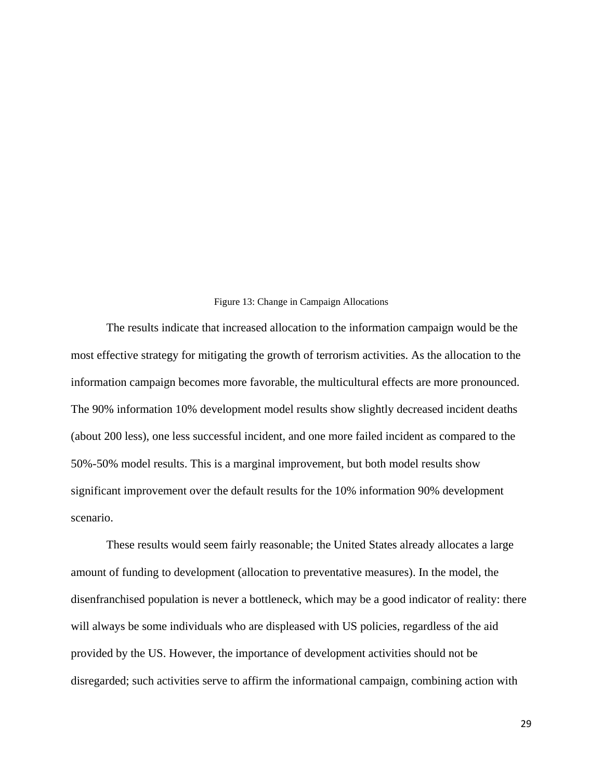#### Figure 13: Change in Campaign Allocations

The results indicate that increased allocation to the information campaign would be the most effective strategy for mitigating the growth of terrorism activities. As the allocation to the information campaign becomes more favorable, the multicultural effects are more pronounced. The 90% information 10% development model results show slightly decreased incident deaths (about 200 less), one less successful incident, and one more failed incident as compared to the 50%-50% model results. This is a marginal improvement, but both model results show significant improvement over the default results for the 10% information 90% development scenario.

These results would seem fairly reasonable; the United States already allocates a large amount of funding to development (allocation to preventative measures). In the model, the disenfranchised population is never a bottleneck, which may be a good indicator of reality: there will always be some individuals who are displeased with US policies, regardless of the aid provided by the US. However, the importance of development activities should not be disregarded; such activities serve to affirm the informational campaign, combining action with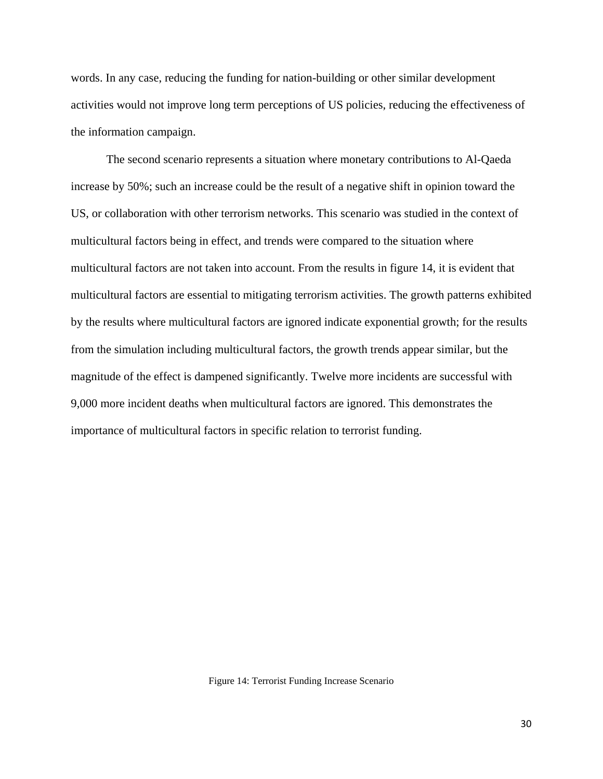words. In any case, reducing the funding for nation-building or other similar development activities would not improve long term perceptions of US policies, reducing the effectiveness of the inform mation camp paign.

The second scenario represents a situation where monetary contributions to Al-Qaeda The second scenario represents a situation where monetary contributions to Al-Qaeda<br>increase by 50%; such an increase could be the result of a negative shift in opinion toward the US, or collaboration with other terrorism networks. This scenario was studied in the context of multicultural factors being in effect, and trends were compared to the situation where multicultural factors are not taken into account. From the results in figure 14, it is evident that multicultural factors are essential to mitigating terrorism activities. The growth patterns exhibited by the results where multicultural factors are ignored indicate exponential growth; for the results from the simulation including multicultural factors, the growth trends appear similar, but the from the simulation including multicultural factors, the growth trends appear similar, but the<br>magnitude of the effect is dampened significantly. Twelve more incidents are successful with 9,000 more incident deaths when multicultural factors are ignored. This demonstrates the importance of multicultural factors in specific relation to terrorist funding.

Figure 14: Terrorist Funding Increase Scenario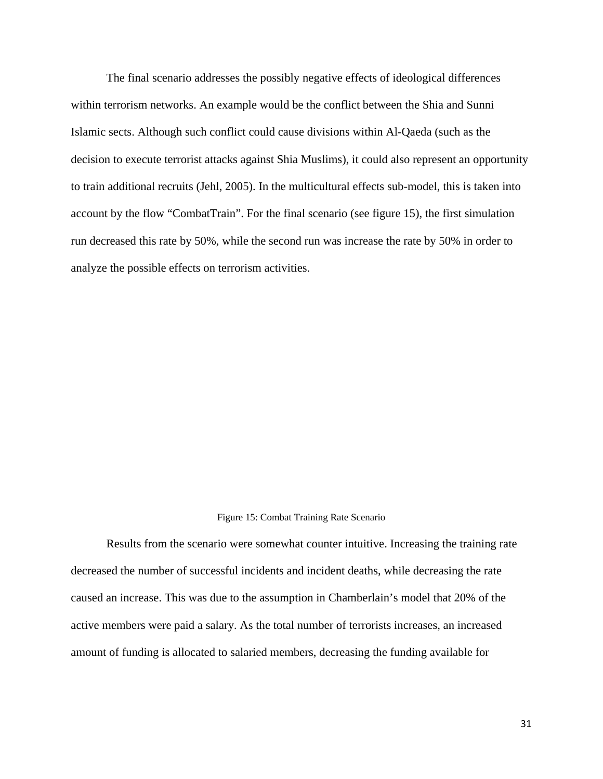The final scenario addresses the possibly negative effects of ideological differences within terrorism networks. An example would be the conflict between the Shia and Sunni Islamic sects. Although such conflict could cause divisions within Al-Qaeda (such as the decision to execute terrorist attacks against Shia Muslims), it could also represent an opportunity to train additional recruits (Jehl, 2005). In the multicultural effects sub-model, this is taken into account by the flow "CombatTrain". For the final scenario (see figure 15), the first simulation run decreased this rate by 50%, while the second run was increase the rate by 50% in order to analyze the possible effects on terrorism activities.

#### Figure 15: Combat Training Rate Scenario

Results from the scenario were somewhat counter intuitive. Increasing the training rate decreased the number of successful incidents and incident deaths, while decreasing the rate caused an increase. This was due to the assumption in Chamberlain's model that 20% of the active members were paid a salary. As the total number of terrorists increases, an increased amount of funding is allocated to salaried members, decreasing the funding available for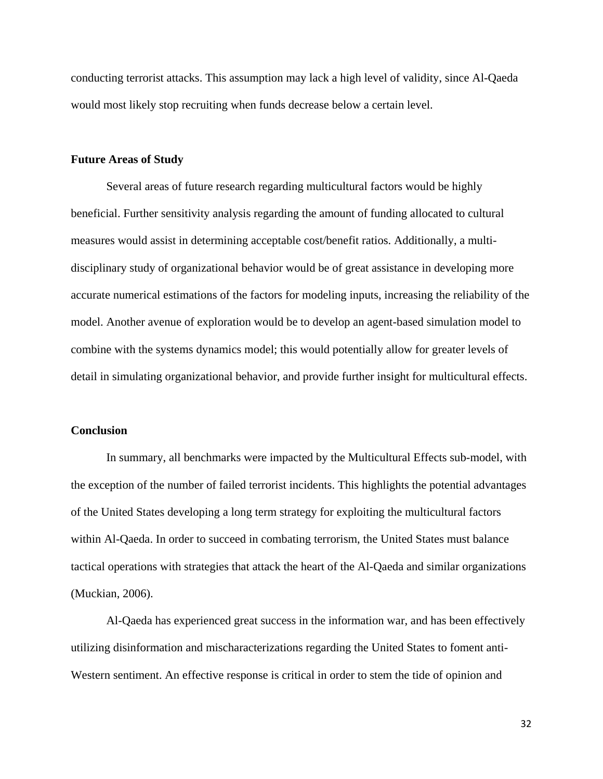conducting terrorist attacks. This assumption may lack a high level of validity, since Al-Qaeda would most likely stop recruiting when funds decrease below a certain level.

#### **Future Areas of Study**

 Several areas of future research regarding multicultural factors would be highly beneficial. Further sensitivity analysis regarding the amount of funding allocated to cultural measures would assist in determining acceptable cost/benefit ratios. Additionally, a multidisciplinary study of organizational behavior would be of great assistance in developing more accurate numerical estimations of the factors for modeling inputs, increasing the reliability of the model. Another avenue of exploration would be to develop an agent-based simulation model to combine with the systems dynamics model; this would potentially allow for greater levels of detail in simulating organizational behavior, and provide further insight for multicultural effects.

#### **Conclusion**

 In summary, all benchmarks were impacted by the Multicultural Effects sub-model, with the exception of the number of failed terrorist incidents. This highlights the potential advantages of the United States developing a long term strategy for exploiting the multicultural factors within Al-Qaeda. In order to succeed in combating terrorism, the United States must balance tactical operations with strategies that attack the heart of the Al-Qaeda and similar organizations (Muckian, 2006).

 Al-Qaeda has experienced great success in the information war, and has been effectively utilizing disinformation and mischaracterizations regarding the United States to foment anti-Western sentiment. An effective response is critical in order to stem the tide of opinion and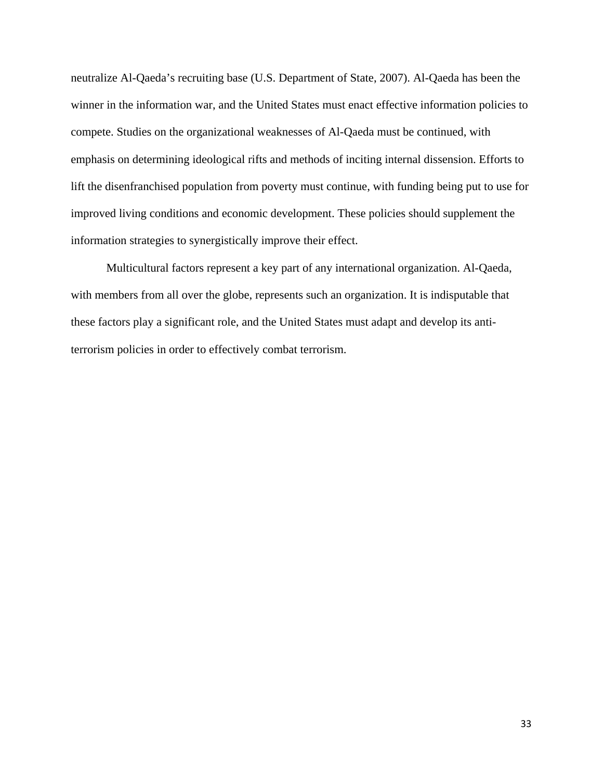neutralize Al-Qaeda's recruiting base (U.S. Department of State, 2007). Al-Qaeda has been the winner in the information war, and the United States must enact effective information policies to compete. Studies on the organizational weaknesses of Al-Qaeda must be continued, with emphasis on determining ideological rifts and methods of inciting internal dissension. Efforts to lift the disenfranchised population from poverty must continue, with funding being put to use for improved living conditions and economic development. These policies should supplement the information strategies to synergistically improve their effect.

 Multicultural factors represent a key part of any international organization. Al-Qaeda, with members from all over the globe, represents such an organization. It is indisputable that these factors play a significant role, and the United States must adapt and develop its antiterrorism policies in order to effectively combat terrorism.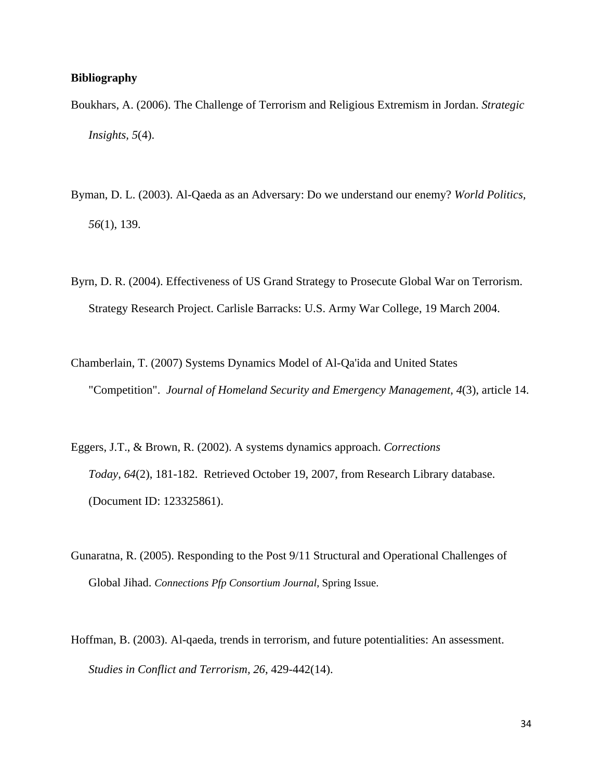#### **Bibliography**

- Boukhars, A. (2006). The Challenge of Terrorism and Religious Extremism in Jordan. *Strategic Insights, 5*(4).
- Byman, D. L. (2003). Al-Qaeda as an Adversary: Do we understand our enemy? *World Politics, 56*(1), 139.
- Byrn, D. R. (2004). Effectiveness of US Grand Strategy to Prosecute Global War on Terrorism. Strategy Research Project. Carlisle Barracks: U.S. Army War College, 19 March 2004.
- Chamberlain, T. (2007) Systems Dynamics Model of Al-Qa'ida and United States "Competition". *Journal of Homeland Security and Emergency Management, 4*(3), article 14.
- Eggers, J.T., & Brown, R. (2002). A systems dynamics approach. *Corrections Today*, *64*(2), 181-182. Retrieved October 19, 2007, from Research Library database. (Document ID: 123325861).
- Gunaratna, R. (2005). Responding to the Post 9/11 Structural and Operational Challenges of Global Jihad. *Connections Pfp Consortium Journal*, Spring Issue.
- Hoffman, B. (2003). Al-qaeda, trends in terrorism, and future potentialities: An assessment. *Studies in Conflict and Terrorism, 26*, 429-442(14).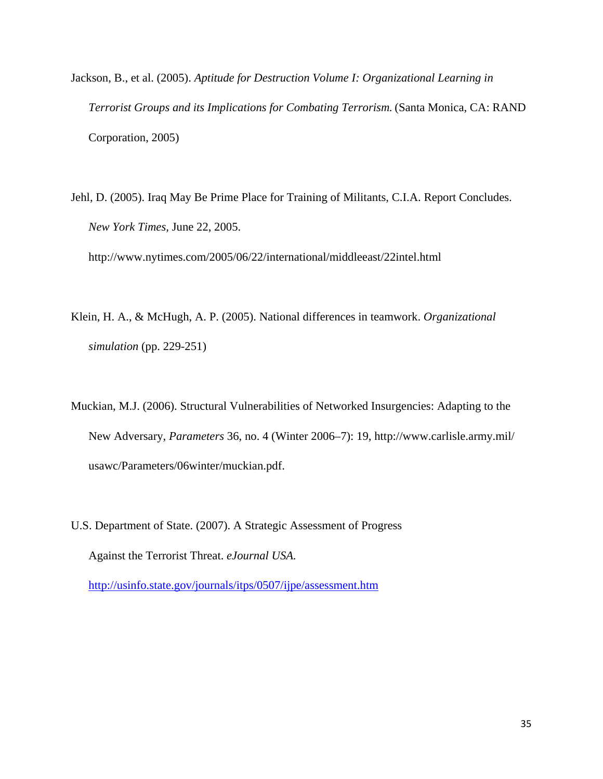- Jackson, B., et al. (2005). *Aptitude for Destruction Volume I: Organizational Learning in Terrorist Groups and its Implications for Combating Terrorism.* (Santa Monica, CA: RAND Corporation, 2005)
- Jehl, D. (2005). Iraq May Be Prime Place for Training of Militants, C.I.A. Report Concludes. *New York Times,* June 22, 2005.

http://www.nytimes.com/2005/06/22/international/middleeast/22intel.html

- Klein, H. A., & McHugh, A. P. (2005). National differences in teamwork. *Organizational simulation* (pp. 229-251)
- Muckian, M.J. (2006). Structural Vulnerabilities of Networked Insurgencies: Adapting to the New Adversary, *Parameters* 36, no. 4 (Winter 2006–7): 19, http://www.carlisle.army.mil/ usawc/Parameters/06winter/muckian.pdf.
- U.S. Department of State. (2007). A Strategic Assessment of Progress Against the Terrorist Threat. *eJournal USA.*  http://usinfo.state.gov/journals/itps/0507/ijpe/assessment.htm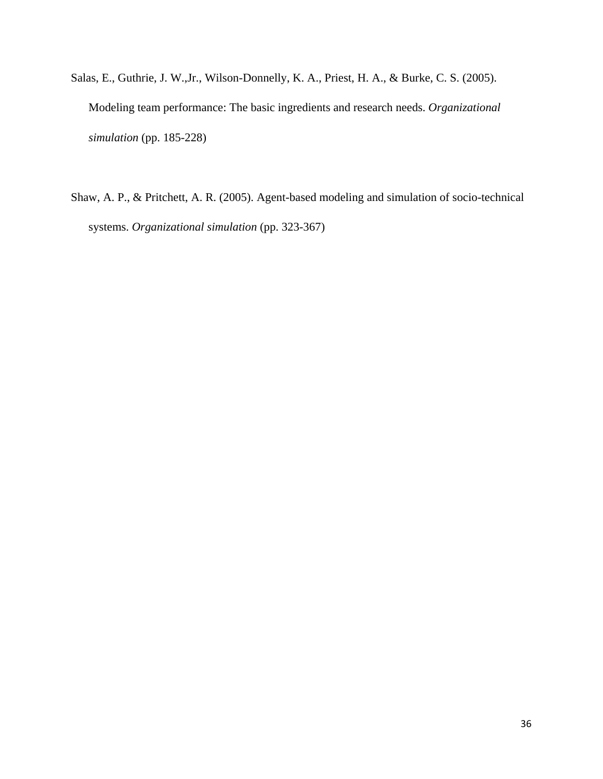- Salas, E., Guthrie, J. W.,Jr., Wilson-Donnelly, K. A., Priest, H. A., & Burke, C. S. (2005). Modeling team performance: The basic ingredients and research needs. *Organizational simulation* (pp. 185-228)
- Shaw, A. P., & Pritchett, A. R. (2005). Agent-based modeling and simulation of socio-technical systems. *Organizational simulation* (pp. 323-367)